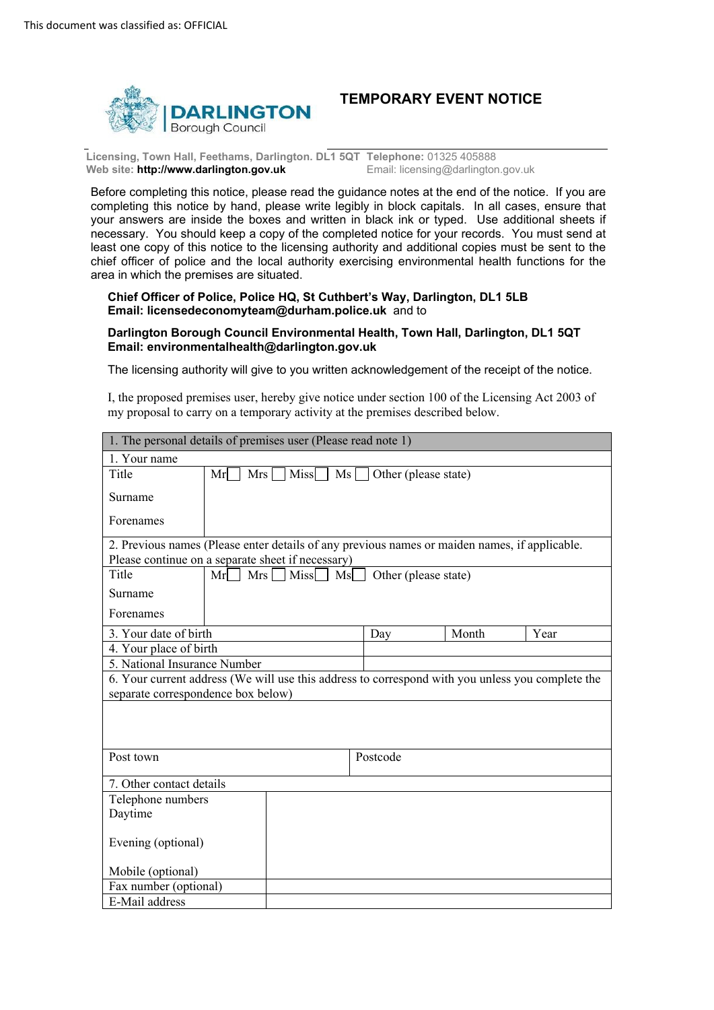

# **TEMPORARY EVENT NOTICE**

 **Licensing, Town Hall, Feethams, Darlington. DL1 5QT Telephone:** 01325 405888 **Web site: http://www.darlington.gov.uk Email: licensing@darlington.gov.uk Email: licensing@darlington.gov.uk** 

 Before completing this notice, please read the guidance notes at the end of the notice. If you are completing this notice by hand, please write legibly in block capitals. In all cases, ensure that necessary. You should keep a copy of the completed notice for your records. You must send at least one copy of this notice to the licensing authority and additional copies must be sent to the your answers are inside the boxes and written in black ink or typed. Use additional sheets if chief officer of police and the local authority exercising environmental health functions for the area in which the premises are situated.

 **Chief Officer of Police, Police HQ, St Cuthbert's Way, Darlington, DL1 5LB Email: licensedeconomytea[m@durham.police.uk](mailto:ahru@durham.pnn.police.uk)** and to

#### **Darlington Borough Council Environmental Health, Town Hall, Darlington, DL1 5QT Email: environmentalhealth@darlington.gov.uk**

The licensing authority will give to you written acknowledgement of the receipt of the notice.

 I, the proposed premises user, hereby give notice under section 100 of the Licensing Act 2003 of my proposal to carry on a temporary activity at the premises described below.

| 1. The personal details of premises user (Please read note 1)                                    |                                    |                                  |          |                                                                                               |      |
|--------------------------------------------------------------------------------------------------|------------------------------------|----------------------------------|----------|-----------------------------------------------------------------------------------------------|------|
| 1. Your name                                                                                     |                                    |                                  |          |                                                                                               |      |
| Title                                                                                            | Mr                                 | Mrs<br>Miss <sup>1</sup><br>$Ms$ |          | Other (please state)                                                                          |      |
| Surname                                                                                          |                                    |                                  |          |                                                                                               |      |
| Forenames                                                                                        |                                    |                                  |          |                                                                                               |      |
|                                                                                                  |                                    |                                  |          | 2. Previous names (Please enter details of any previous names or maiden names, if applicable. |      |
| Please continue on a separate sheet if necessary)                                                |                                    |                                  |          |                                                                                               |      |
| Title                                                                                            | Mr                                 | $Mrs$ Miss $MS$                  |          | Other (please state)                                                                          |      |
| Surname                                                                                          |                                    |                                  |          |                                                                                               |      |
| Forenames                                                                                        |                                    |                                  |          |                                                                                               |      |
| 3. Your date of birth                                                                            |                                    |                                  | Day      | Month                                                                                         | Year |
| 4. Your place of birth                                                                           |                                    |                                  |          |                                                                                               |      |
|                                                                                                  | 5. National Insurance Number       |                                  |          |                                                                                               |      |
| 6. Your current address (We will use this address to correspond with you unless you complete the |                                    |                                  |          |                                                                                               |      |
|                                                                                                  | separate correspondence box below) |                                  |          |                                                                                               |      |
|                                                                                                  |                                    |                                  |          |                                                                                               |      |
|                                                                                                  |                                    |                                  |          |                                                                                               |      |
|                                                                                                  |                                    |                                  |          |                                                                                               |      |
| Post town                                                                                        |                                    |                                  | Postcode |                                                                                               |      |
|                                                                                                  |                                    |                                  |          |                                                                                               |      |
| 7. Other contact details<br>Telephone numbers                                                    |                                    |                                  |          |                                                                                               |      |
| Daytime                                                                                          |                                    |                                  |          |                                                                                               |      |
|                                                                                                  |                                    |                                  |          |                                                                                               |      |
| Evening (optional)                                                                               |                                    |                                  |          |                                                                                               |      |
| Mobile (optional)                                                                                |                                    |                                  |          |                                                                                               |      |
| Fax number (optional)                                                                            |                                    |                                  |          |                                                                                               |      |
| E-Mail address                                                                                   |                                    |                                  |          |                                                                                               |      |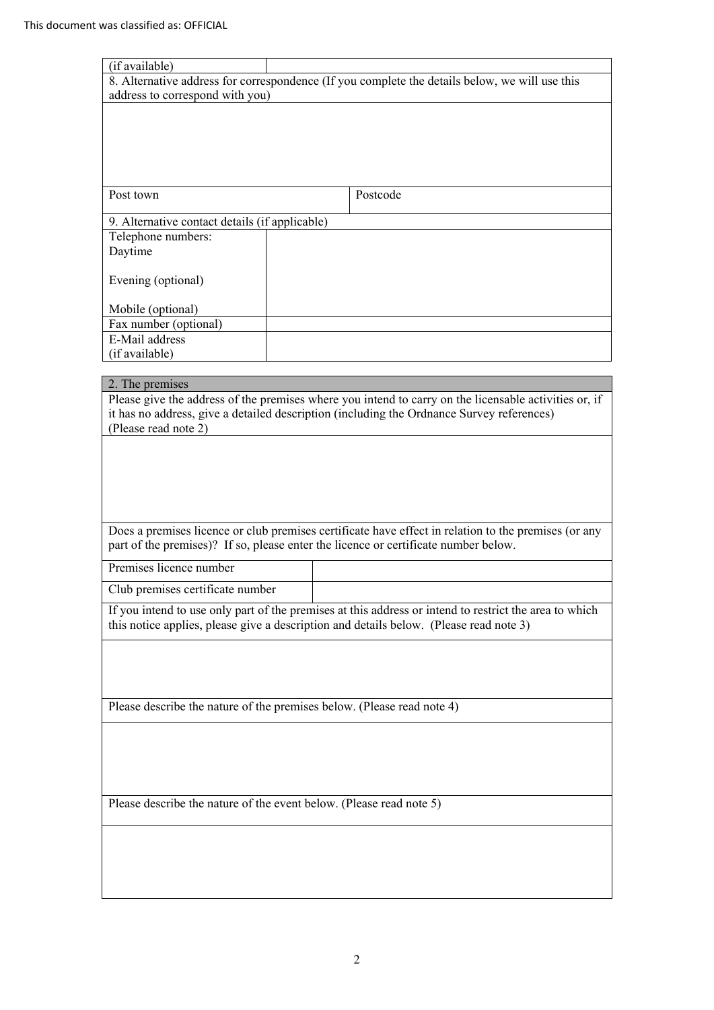| (if available)                                                         |                                                                                                        |
|------------------------------------------------------------------------|--------------------------------------------------------------------------------------------------------|
|                                                                        | 8. Alternative address for correspondence (If you complete the details below, we will use this         |
| address to correspond with you)                                        |                                                                                                        |
|                                                                        |                                                                                                        |
|                                                                        |                                                                                                        |
|                                                                        |                                                                                                        |
|                                                                        |                                                                                                        |
|                                                                        |                                                                                                        |
| Post town                                                              | Postcode                                                                                               |
| 9. Alternative contact details (if applicable)                         |                                                                                                        |
| Telephone numbers:                                                     |                                                                                                        |
| Daytime                                                                |                                                                                                        |
|                                                                        |                                                                                                        |
| Evening (optional)                                                     |                                                                                                        |
|                                                                        |                                                                                                        |
| Mobile (optional)<br>Fax number (optional)                             |                                                                                                        |
| E-Mail address                                                         |                                                                                                        |
| (if available)                                                         |                                                                                                        |
|                                                                        |                                                                                                        |
| 2. The premises                                                        |                                                                                                        |
|                                                                        | Please give the address of the premises where you intend to carry on the licensable activities or, if  |
| (Please read note 2)                                                   | it has no address, give a detailed description (including the Ordnance Survey references)              |
|                                                                        |                                                                                                        |
|                                                                        |                                                                                                        |
|                                                                        |                                                                                                        |
|                                                                        |                                                                                                        |
|                                                                        |                                                                                                        |
|                                                                        | Does a premises licence or club premises certificate have effect in relation to the premises (or any   |
|                                                                        | part of the premises)? If so, please enter the licence or certificate number below.                    |
|                                                                        |                                                                                                        |
| Premises licence number                                                |                                                                                                        |
| Club premises certificate number                                       |                                                                                                        |
|                                                                        | If you intend to use only part of the premises at this address or intend to restrict the area to which |
|                                                                        | this notice applies, please give a description and details below. (Please read note 3)                 |
|                                                                        |                                                                                                        |
|                                                                        |                                                                                                        |
|                                                                        |                                                                                                        |
|                                                                        |                                                                                                        |
| Please describe the nature of the premises below. (Please read note 4) |                                                                                                        |
|                                                                        |                                                                                                        |
|                                                                        |                                                                                                        |
|                                                                        |                                                                                                        |
|                                                                        |                                                                                                        |
| Please describe the nature of the event below. (Please read note 5)    |                                                                                                        |
|                                                                        |                                                                                                        |
|                                                                        |                                                                                                        |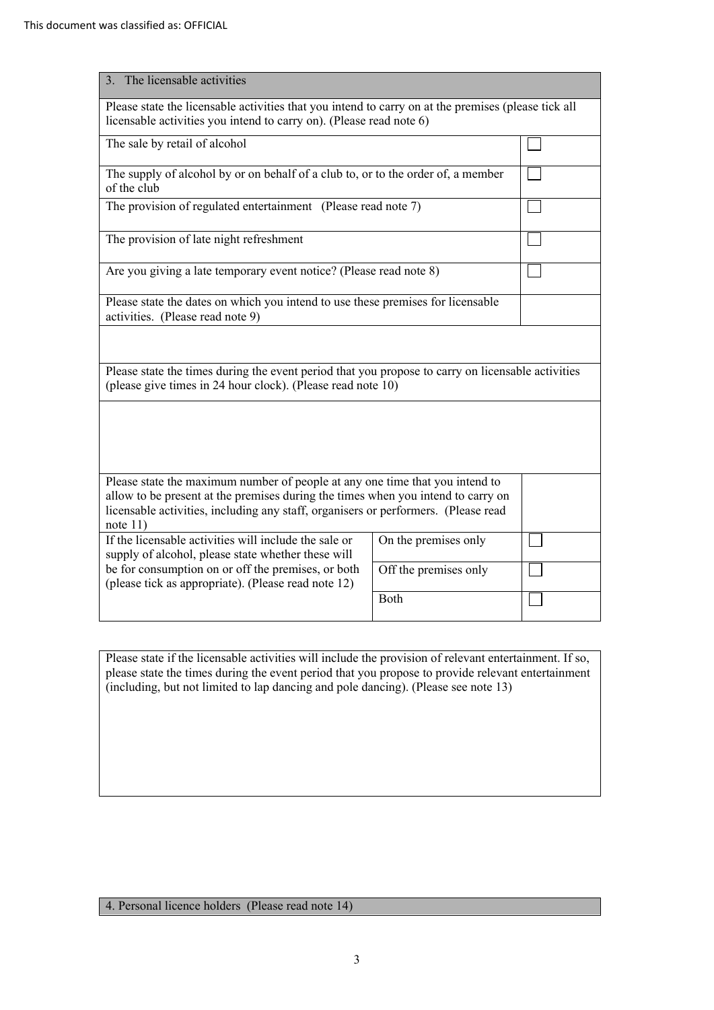| 3. The licensable activities                                                                                                                                                                                                                                         |                       |  |
|----------------------------------------------------------------------------------------------------------------------------------------------------------------------------------------------------------------------------------------------------------------------|-----------------------|--|
| Please state the licensable activities that you intend to carry on at the premises (please tick all<br>licensable activities you intend to carry on). (Please read note 6)                                                                                           |                       |  |
| The sale by retail of alcohol                                                                                                                                                                                                                                        |                       |  |
| The supply of alcohol by or on behalf of a club to, or to the order of, a member<br>of the club                                                                                                                                                                      |                       |  |
| The provision of regulated entertainment (Please read note 7)                                                                                                                                                                                                        |                       |  |
| The provision of late night refreshment                                                                                                                                                                                                                              |                       |  |
| Are you giving a late temporary event notice? (Please read note 8)                                                                                                                                                                                                   |                       |  |
| Please state the dates on which you intend to use these premises for licensable<br>activities. (Please read note 9)                                                                                                                                                  |                       |  |
|                                                                                                                                                                                                                                                                      |                       |  |
| Please state the times during the event period that you propose to carry on licensable activities<br>(please give times in 24 hour clock). (Please read note 10)                                                                                                     |                       |  |
|                                                                                                                                                                                                                                                                      |                       |  |
|                                                                                                                                                                                                                                                                      |                       |  |
| Please state the maximum number of people at any one time that you intend to<br>allow to be present at the premises during the times when you intend to carry on<br>licensable activities, including any staff, organisers or performers. (Please read<br>note $11)$ |                       |  |
| If the licensable activities will include the sale or<br>supply of alcohol, please state whether these will                                                                                                                                                          | On the premises only  |  |
| be for consumption on or off the premises, or both<br>(please tick as appropriate). (Please read note 12)                                                                                                                                                            | Off the premises only |  |
|                                                                                                                                                                                                                                                                      | Both                  |  |

 Please state if the licensable activities will include the provision of relevant entertainment. If so, (including, but not limited to lap dancing and pole dancing). (Please see note 13) please state the times during the event period that you propose to provide relevant entertainment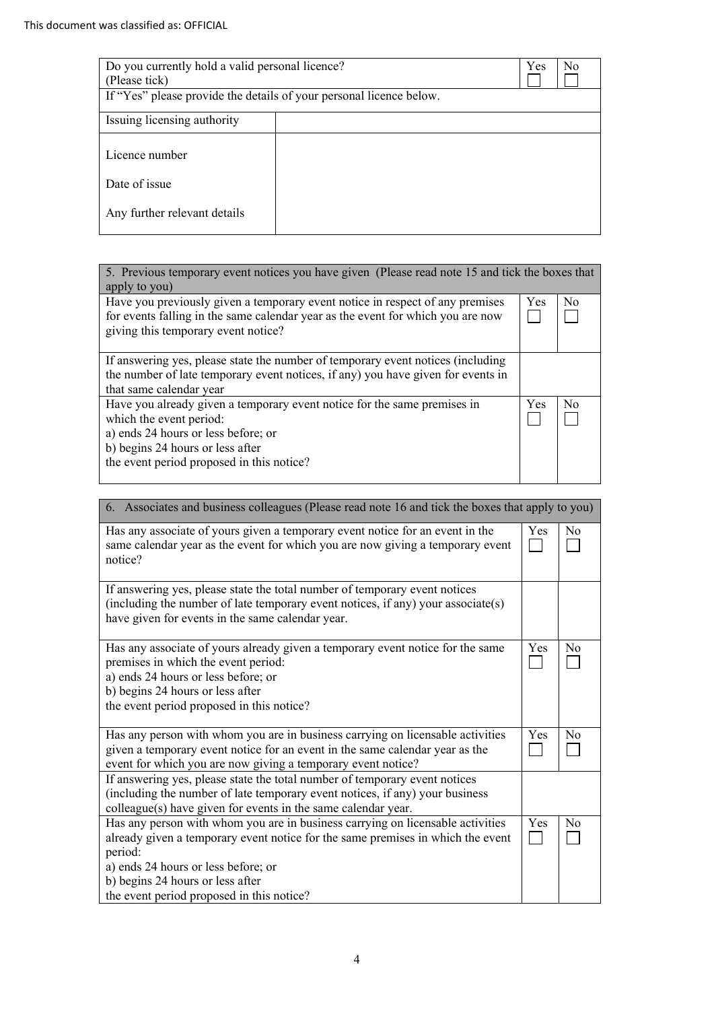| Do you currently hold a valid personal licence?<br>(Please tick)<br>If "Yes" please provide the details of your personal licence below. |  | Yes<br>N <sub>0</sub> |
|-----------------------------------------------------------------------------------------------------------------------------------------|--|-----------------------|
|                                                                                                                                         |  |                       |
| Issuing licensing authority                                                                                                             |  |                       |
|                                                                                                                                         |  |                       |
| Licence number                                                                                                                          |  |                       |
|                                                                                                                                         |  |                       |
| Date of issue                                                                                                                           |  |                       |
| Any further relevant details                                                                                                            |  |                       |

| 5. Previous temporary event notices you have given (Please read note 15 and tick the boxes that<br>apply to you)                                                                                                            |     |          |
|-----------------------------------------------------------------------------------------------------------------------------------------------------------------------------------------------------------------------------|-----|----------|
| Have you previously given a temporary event notice in respect of any premises<br>for events falling in the same calendar year as the event for which you are now<br>giving this temporary event notice?                     | Yes | $\rm No$ |
| If answering yes, please state the number of temporary event notices (including<br>the number of late temporary event notices, if any) you have given for events in<br>that same calendar year                              |     |          |
| Have you already given a temporary event notice for the same premises in<br>which the event period:<br>a) ends 24 hours or less before; or<br>b) begins 24 hours or less after<br>the event period proposed in this notice? |     | N٥       |

| 6. Associates and business colleagues (Please read note 16 and tick the boxes that apply to you)                                                                                                                                                                                                     |     |    |
|------------------------------------------------------------------------------------------------------------------------------------------------------------------------------------------------------------------------------------------------------------------------------------------------------|-----|----|
| Has any associate of yours given a temporary event notice for an event in the<br>same calendar year as the event for which you are now giving a temporary event<br>notice?                                                                                                                           | Yes | No |
| If answering yes, please state the total number of temporary event notices<br>(including the number of late temporary event notices, if any) your associate(s)<br>have given for events in the same calendar year.                                                                                   |     |    |
| Has any associate of yours already given a temporary event notice for the same<br>premises in which the event period:<br>a) ends 24 hours or less before; or<br>b) begins 24 hours or less after<br>the event period proposed in this notice?                                                        | Yes | No |
| Has any person with whom you are in business carrying on licensable activities<br>given a temporary event notice for an event in the same calendar year as the<br>event for which you are now giving a temporary event notice?                                                                       | Yes | No |
| If answering yes, please state the total number of temporary event notices<br>(including the number of late temporary event notices, if any) your business<br>colleague(s) have given for events in the same calendar year.                                                                          |     |    |
| Has any person with whom you are in business carrying on licensable activities<br>already given a temporary event notice for the same premises in which the event<br>period:<br>a) ends 24 hours or less before; or<br>b) begins 24 hours or less after<br>the event period proposed in this notice? | Yes | No |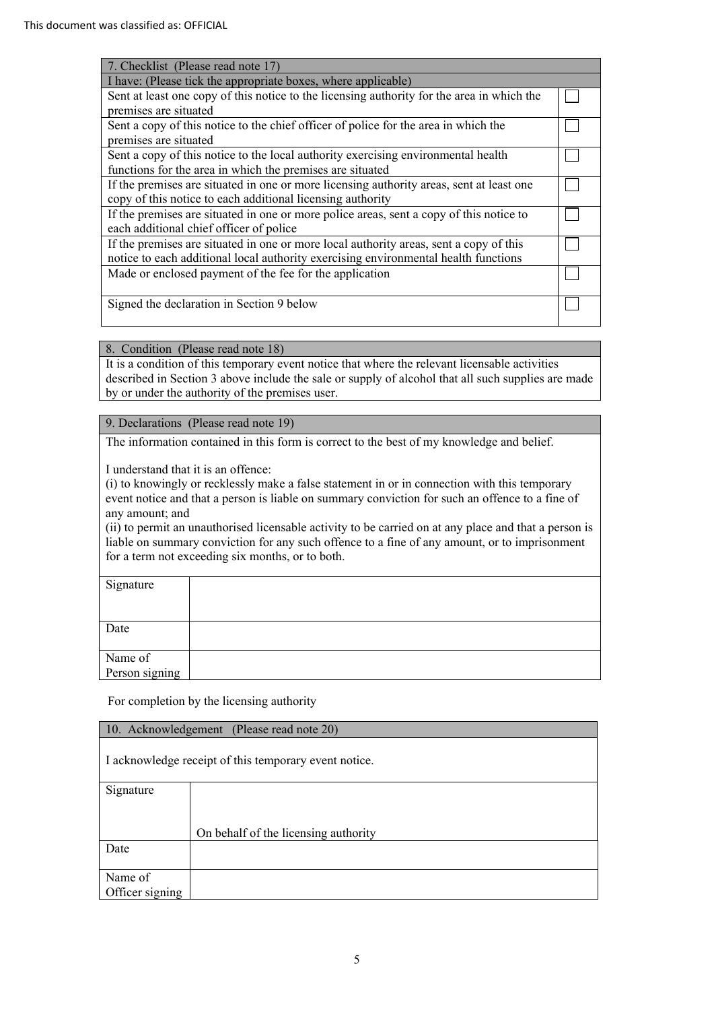| 7. Checklist (Please read note 17)                                                         |  |
|--------------------------------------------------------------------------------------------|--|
| I have: (Please tick the appropriate boxes, where applicable)                              |  |
| Sent at least one copy of this notice to the licensing authority for the area in which the |  |
| premises are situated                                                                      |  |
| Sent a copy of this notice to the chief officer of police for the area in which the        |  |
| premises are situated                                                                      |  |
| Sent a copy of this notice to the local authority exercising environmental health          |  |
| functions for the area in which the premises are situated                                  |  |
| If the premises are situated in one or more licensing authority areas, sent at least one   |  |
| copy of this notice to each additional licensing authority                                 |  |
| If the premises are situated in one or more police areas, sent a copy of this notice to    |  |
| each additional chief officer of police                                                    |  |
| If the premises are situated in one or more local authority areas, sent a copy of this     |  |
| notice to each additional local authority exercising environmental health functions        |  |
| Made or enclosed payment of the fee for the application                                    |  |
|                                                                                            |  |
| Signed the declaration in Section 9 below                                                  |  |
|                                                                                            |  |

8. Condition (Please read note 18)

 described in Section 3 above include the sale or supply of alcohol that all such supplies are made It is a condition of this temporary event notice that where the relevant licensable activities by or under the authority of the premises user.

# 9. Declarations (Please read note 19)

The information contained in this form is correct to the best of my knowledge and belief.

I understand that it is an offence:

 (i) to knowingly or recklessly make a false statement in or in connection with this temporary event notice and that a person is liable on summary conviction for such an offence to a fine of any amount; and

 (ii) to permit an unauthorised licensable activity to be carried on at any place and that a person is liable on summary conviction for any such offence to a fine of any amount, or to imprisonment for a term not exceeding six months, or to both.

| Signature      |  |
|----------------|--|
|                |  |
|                |  |
| Date           |  |
|                |  |
| Name of        |  |
| Person signing |  |

For completion by the licensing authority

| 10. Acknowledgement (Please read note 20)             |                                      |  |
|-------------------------------------------------------|--------------------------------------|--|
| I acknowledge receipt of this temporary event notice. |                                      |  |
| Signature                                             |                                      |  |
|                                                       |                                      |  |
|                                                       | On behalf of the licensing authority |  |
| Date                                                  |                                      |  |
|                                                       |                                      |  |
| Name of                                               |                                      |  |
| Officer signing                                       |                                      |  |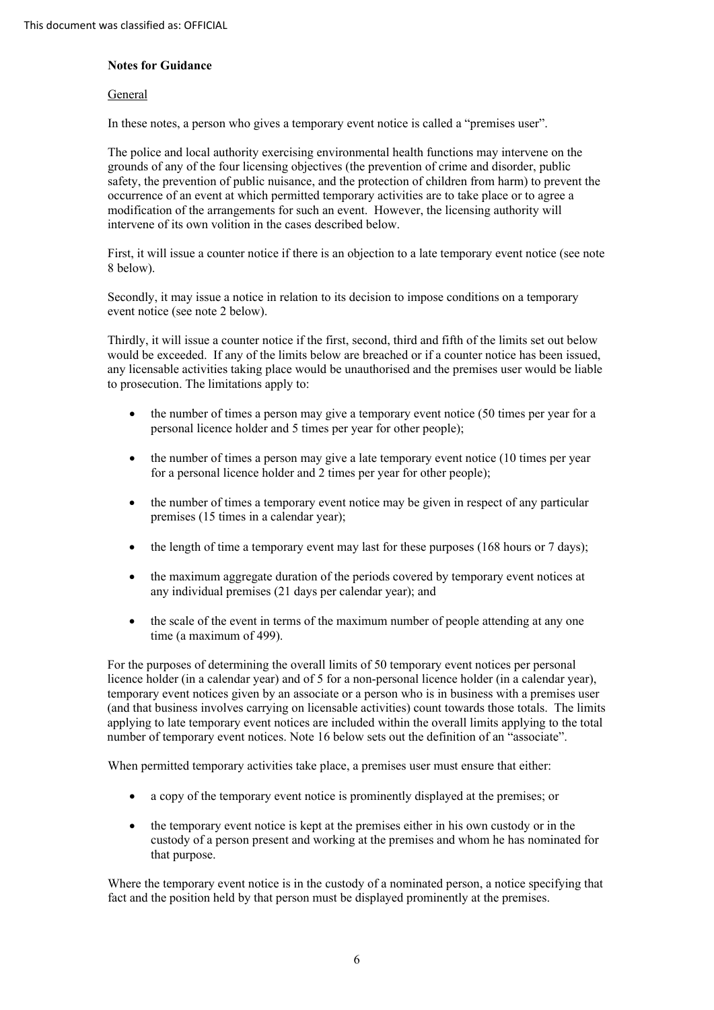### **Notes for Guidance**

#### General

In these notes, a person who gives a temporary event notice is called a "premises user".

 The police and local authority exercising environmental health functions may intervene on the grounds of any of the four licensing objectives (the prevention of crime and disorder, public safety, the prevention of public nuisance, and the protection of children from harm) to prevent the occurrence of an event at which permitted temporary activities are to take place or to agree a modification of the arrangements for such an event. However, the licensing authority will intervene of its own volition in the cases described below.

 First, it will issue a counter notice if there is an objection to a late temporary event notice (see note 8 below).

 Secondly, it may issue a notice in relation to its decision to impose conditions on a temporary event notice (see note 2 below).

 Thirdly, it will issue a counter notice if the first, second, third and fifth of the limits set out below would be exceeded. If any of the limits below are breached or if a counter notice has been issued, any licensable activities taking place would be unauthorised and the premises user would be liable to prosecution. The limitations apply to:

- the number of times a person may give a temporary event notice (50 times per year for a personal licence holder and 5 times per year for other people);
- the number of times a person may give a late temporary event notice (10 times per year for a personal licence holder and 2 times per year for other people);
- • the number of times a temporary event notice may be given in respect of any particular premises (15 times in a calendar year);
- the length of time a temporary event may last for these purposes (168 hours or 7 days);
- • the maximum aggregate duration of the periods covered by temporary event notices at any individual premises (21 days per calendar year); and
- the scale of the event in terms of the maximum number of people attending at any one time (a maximum of 499).

 For the purposes of determining the overall limits of 50 temporary event notices per personal licence holder (in a calendar year) and of 5 for a non-personal licence holder (in a calendar year), temporary event notices given by an associate or a person who is in business with a premises user (and that business involves carrying on licensable activities) count towards those totals. The limits applying to late temporary event notices are included within the overall limits applying to the total number of temporary event notices. Note 16 below sets out the definition of an "associate".

When permitted temporary activities take place, a premises user must ensure that either:

- a copy of the temporary event notice is prominently displayed at the premises; or
- • the temporary event notice is kept at the premises either in his own custody or in the custody of a person present and working at the premises and whom he has nominated for that purpose.

 Where the temporary event notice is in the custody of a nominated person, a notice specifying that fact and the position held by that person must be displayed prominently at the premises.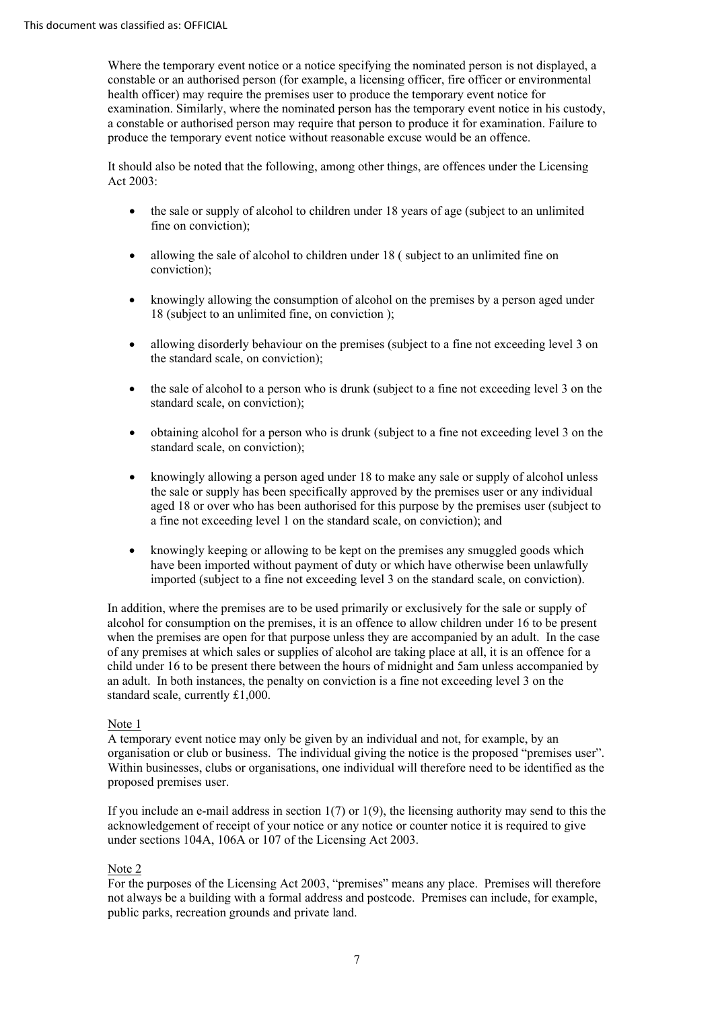Where the temporary event notice or a notice specifying the nominated person is not displayed, a constable or an authorised person (for example, a licensing officer, fire officer or environmental health officer) may require the premises user to produce the temporary event notice for examination. Similarly, where the nominated person has the temporary event notice in his custody, a constable or authorised person may require that person to produce it for examination. Failure to produce the temporary event notice without reasonable excuse would be an offence.

 It should also be noted that the following, among other things, are offences under the Licensing Act 2003:

- • the sale or supply of alcohol to children under 18 years of age (subject to an unlimited fine on conviction);
- • allowing the sale of alcohol to children under 18 ( subject to an unlimited fine on conviction);
- • knowingly allowing the consumption of alcohol on the premises by a person aged under 18 (subject to an unlimited fine, on conviction );
- • allowing disorderly behaviour on the premises (subject to a fine not exceeding level 3 on the standard scale, on conviction);
- the sale of alcohol to a person who is drunk (subject to a fine not exceeding level 3 on the standard scale, on conviction);
- • obtaining alcohol for a person who is drunk (subject to a fine not exceeding level 3 on the standard scale, on conviction);
- • knowingly allowing a person aged under 18 to make any sale or supply of alcohol unless the sale or supply has been specifically approved by the premises user or any individual aged 18 or over who has been authorised for this purpose by the premises user (subject to a fine not exceeding level 1 on the standard scale, on conviction); and
- • knowingly keeping or allowing to be kept on the premises any smuggled goods which have been imported without payment of duty or which have otherwise been unlawfully imported (subject to a fine not exceeding level 3 on the standard scale, on conviction).

 In addition, where the premises are to be used primarily or exclusively for the sale or supply of alcohol for consumption on the premises, it is an offence to allow children under 16 to be present when the premises are open for that purpose unless they are accompanied by an adult. In the case of any premises at which sales or supplies of alcohol are taking place at all, it is an offence for a child under 16 to be present there between the hours of midnight and 5am unless accompanied by an adult. In both instances, the penalty on conviction is a fine not exceeding level 3 on the standard scale, currently £1,000.

# Note 1

 A temporary event notice may only be given by an individual and not, for example, by an organisation or club or business. The individual giving the notice is the proposed "premises user". Within businesses, clubs or organisations, one individual will therefore need to be identified as the proposed premises user.

 If you include an e-mail address in section 1(7) or 1(9), the licensing authority may send to this the acknowledgement of receipt of your notice or any notice or counter notice it is required to give under sections 104A, 106A or 107 of the Licensing Act 2003.

#### Note 2

 For the purposes of the Licensing Act 2003, "premises" means any place. Premises will therefore not always be a building with a formal address and postcode. Premises can include, for example, public parks, recreation grounds and private land.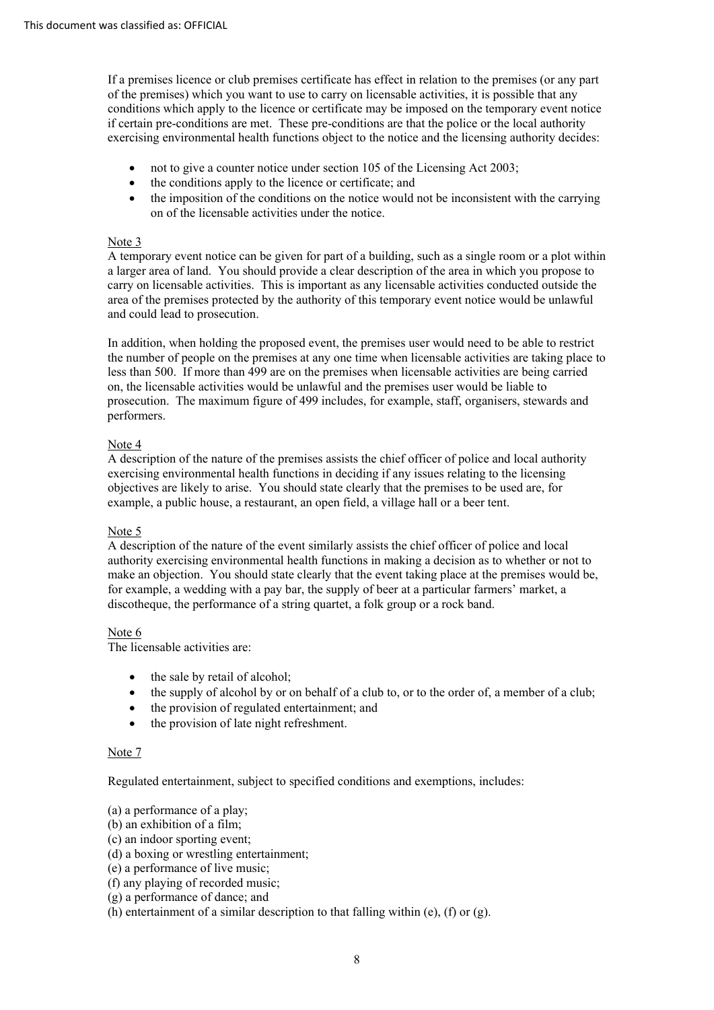If a premises licence or club premises certificate has effect in relation to the premises (or any part of the premises) which you want to use to carry on licensable activities, it is possible that any conditions which apply to the licence or certificate may be imposed on the temporary event notice if certain pre-conditions are met. These pre-conditions are that the police or the local authority exercising environmental health functions object to the notice and the licensing authority decides:

- not to give a counter notice under section 105 of the Licensing Act 2003;
- the conditions apply to the licence or certificate; and
- the imposition of the conditions on the notice would not be inconsistent with the carrying on of the licensable activities under the notice.

## Note 3

 A temporary event notice can be given for part of a building, such as a single room or a plot within a larger area of land. You should provide a clear description of the area in which you propose to carry on licensable activities. This is important as any licensable activities conducted outside the area of the premises protected by the authority of this temporary event notice would be unlawful and could lead to prosecution.

 In addition, when holding the proposed event, the premises user would need to be able to restrict the number of people on the premises at any one time when licensable activities are taking place to less than 500. If more than 499 are on the premises when licensable activities are being carried on, the licensable activities would be unlawful and the premises user would be liable to prosecution. The maximum figure of 499 includes, for example, staff, organisers, stewards and performers.

### Note 4

 A description of the nature of the premises assists the chief officer of police and local authority exercising environmental health functions in deciding if any issues relating to the licensing objectives are likely to arise. You should state clearly that the premises to be used are, for example, a public house, a restaurant, an open field, a village hall or a beer tent.

# Note 5

 A description of the nature of the event similarly assists the chief officer of police and local authority exercising environmental health functions in making a decision as to whether or not to make an objection. You should state clearly that the event taking place at the premises would be, for example, a wedding with a pay bar, the supply of beer at a particular farmers' market, a discotheque, the performance of a string quartet, a folk group or a rock band.

# Note 6

The licensable activities are:

- the sale by retail of alcohol;
- the supply of alcohol by or on behalf of a club to, or to the order of, a member of a club;
- the provision of regulated entertainment; and
- the provision of late night refreshment.

#### Note 7

Regulated entertainment, subject to specified conditions and exemptions, includes:

(a) a performance of a play;

- (b) an exhibition of a film;
- (c) an indoor sporting event;
- (d) a boxing or wrestling entertainment;
- (e) a performance of live music;
- (f) any playing of recorded music;
- (g) a performance of dance; and
- (h) entertainment of a similar description to that falling within  $(e)$ ,  $(f)$  or  $(g)$ .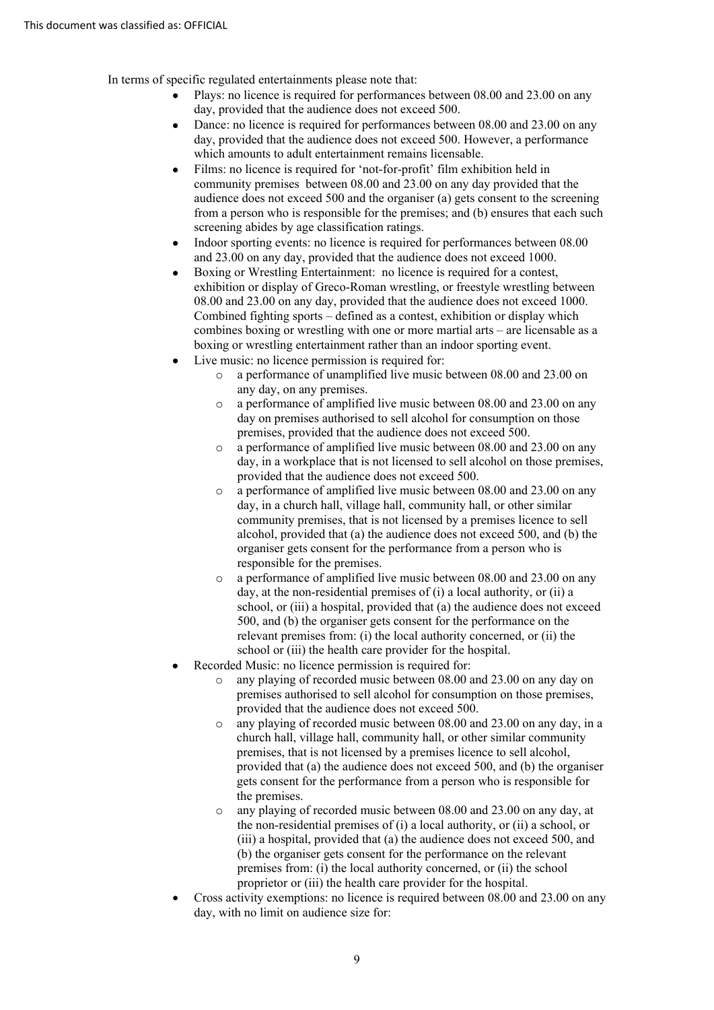In terms of specific regulated entertainments please note that:

- Plays: no licence is required for performances between 08.00 and 23.00 on any day, provided that the audience does not exceed 500.
- day, provided that the audience does not exceed 500. However, a performance • Dance: no licence is required for performances between 08.00 and 23.00 on any which amounts to adult entertainment remains licensable.
- community premises between 08.00 and 23.00 on any day provided that the audience does not exceed 500 and the organiser (a) gets consent to the screening • Films: no licence is required for 'not-for-profit' film exhibition held in from a person who is responsible for the premises; and (b) ensures that each such screening abides by age classification ratings.
- and 23.00 on any day, provided that the audience does not exceed 1000. Indoor sporting events: no licence is required for performances between 08.00
- 08.00 and 23.00 on any day, provided that the audience does not exceed 1000. Combined fighting sports – defined as a contest, exhibition or display which boxing or wrestling entertainment rather than an indoor sporting event. • Boxing or Wrestling Entertainment: no licence is required for a contest, exhibition or display of Greco-Roman wrestling, or freestyle wrestling between combines boxing or wrestling with one or more martial arts – are licensable as a
- Live music: no licence permission is required for:
	- o a performance of unamplified live music between 08.00 and 23.00 on any day, on any premises.
	- o a performance of amplified live music between 08.00 and 23.00 on any day on premises authorised to sell alcohol for consumption on those premises, provided that the audience does not exceed 500.
	- o a performance of amplified live music between 08.00 and 23.00 on any day, in a workplace that is not licensed to sell alcohol on those premises, provided that the audience does not exceed 500.
	- day, in a church hall, village hall, community hall, or other similar community premises, that is not licensed by a premises licence to sell organiser gets consent for the performance from a person who is o a performance of amplified live music between 08.00 and 23.00 on any alcohol, provided that (a) the audience does not exceed 500, and (b) the responsible for the premises.
	- day, at the non-residential premises of (i) a local authority, or (ii) a school, or (iii) a hospital, provided that (a) the audience does not exceed 500, and (b) the organiser gets consent for the performance on the o a performance of amplified live music between 08.00 and 23.00 on any relevant premises from: (i) the local authority concerned, or (ii) the school or (iii) the health care provider for the hospital.
- Recorded Music: no licence permission is required for:
	- any playing of recorded music between 08.00 and 23.00 on any day on premises authorised to sell alcohol for consumption on those premises, provided that the audience does not exceed 500.
	- church hall, village hall, community hall, or other similar community o any playing of recorded music between 08.00 and 23.00 on any day, in a premises, that is not licensed by a premises licence to sell alcohol, provided that (a) the audience does not exceed 500, and (b) the organiser gets consent for the performance from a person who is responsible for the premises.
	- o any playing of recorded music between 08.00 and 23.00 on any day, at the non-residential premises of (i) a local authority, or (ii) a school, or premises from: (i) the local authority concerned, or (ii) the school proprietor or (iii) the health care provider for the hospital. (iii) a hospital, provided that (a) the audience does not exceed 500, and (b) the organiser gets consent for the performance on the relevant
- day, with no limit on audience size for:<br>9 • Cross activity exemptions: no licence is required between 08.00 and 23.00 on any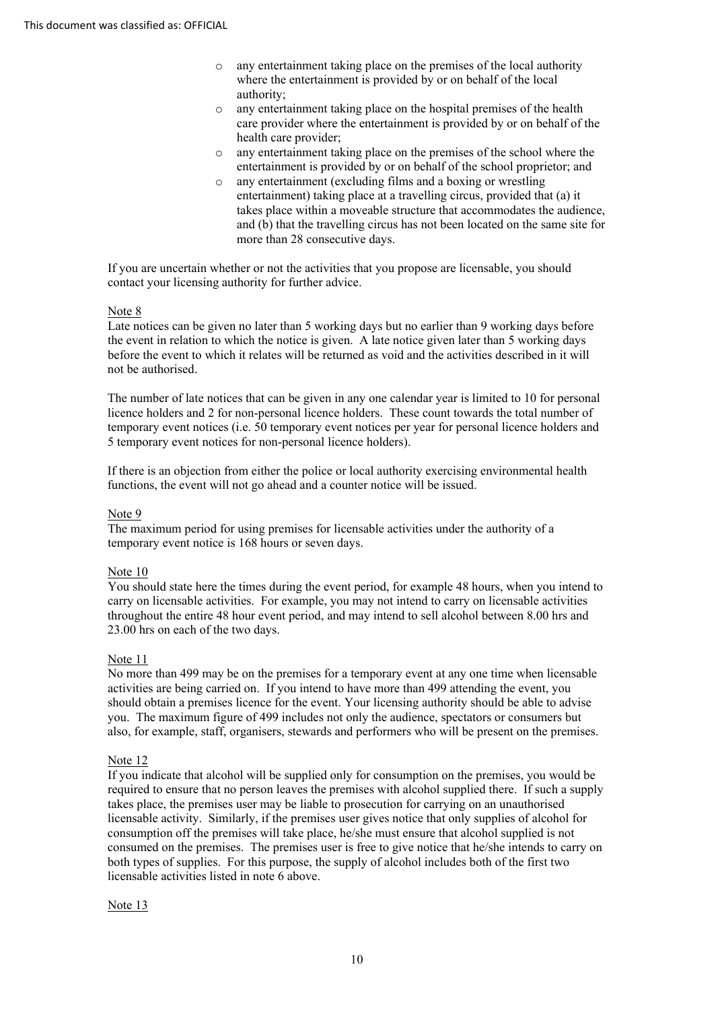- o any entertainment taking place on the premises of the local authority where the entertainment is provided by or on behalf of the local authority;
- o any entertainment taking place on the hospital premises of the health care provider where the entertainment is provided by or on behalf of the health care provider;
- o any entertainment taking place on the premises of the school where the entertainment is provided by or on behalf of the school proprietor; and
- and (b) that the travelling circus has not been located on the same site for more than 28 consecutive days. o any entertainment (excluding films and a boxing or wrestling entertainment) taking place at a travelling circus, provided that (a) it takes place within a moveable structure that accommodates the audience,

more than 28 consecutive days.<br>If you are uncertain whether or not the activities that you propose are licensable, you should contact your licensing authority for further advice.

# Note 8

 Late notices can be given no later than 5 working days but no earlier than 9 working days before the event in relation to which the notice is given. A late notice given later than 5 working days before the event to which it relates will be returned as void and the activities described in it will not be authorised.

 The number of late notices that can be given in any one calendar year is limited to 10 for personal licence holders and 2 for non-personal licence holders. These count towards the total number of temporary event notices (i.e. 50 temporary event notices per year for personal licence holders and 5 temporary event notices for non-personal licence holders).

 If there is an objection from either the police or local authority exercising environmental health functions, the event will not go ahead and a counter notice will be issued.

# Note 9

 The maximum period for using premises for licensable activities under the authority of a temporary event notice is 168 hours or seven days.

### Note 10

 You should state here the times during the event period, for example 48 hours, when you intend to carry on licensable activities. For example, you may not intend to carry on licensable activities throughout the entire 48 hour event period, and may intend to sell alcohol between 8.00 hrs and 23.00 hrs on each of the two days.

# Note 11

 No more than 499 may be on the premises for a temporary event at any one time when licensable activities are being carried on. If you intend to have more than 499 attending the event, you should obtain a premises licence for the event. Your licensing authority should be able to advise you. The maximum figure of 499 includes not only the audience, spectators or consumers but also, for example, staff, organisers, stewards and performers who will be present on the premises.

#### Note 12

 If you indicate that alcohol will be supplied only for consumption on the premises, you would be required to ensure that no person leaves the premises with alcohol supplied there. If such a supply takes place, the premises user may be liable to prosecution for carrying on an unauthorised licensable activity. Similarly, if the premises user gives notice that only supplies of alcohol for consumption off the premises will take place, he/she must ensure that alcohol supplied is not consumed on the premises. The premises user is free to give notice that he/she intends to carry on both types of supplies. For this purpose, the supply of alcohol includes both of the first two licensable activities listed in note 6 above.

#### Note 13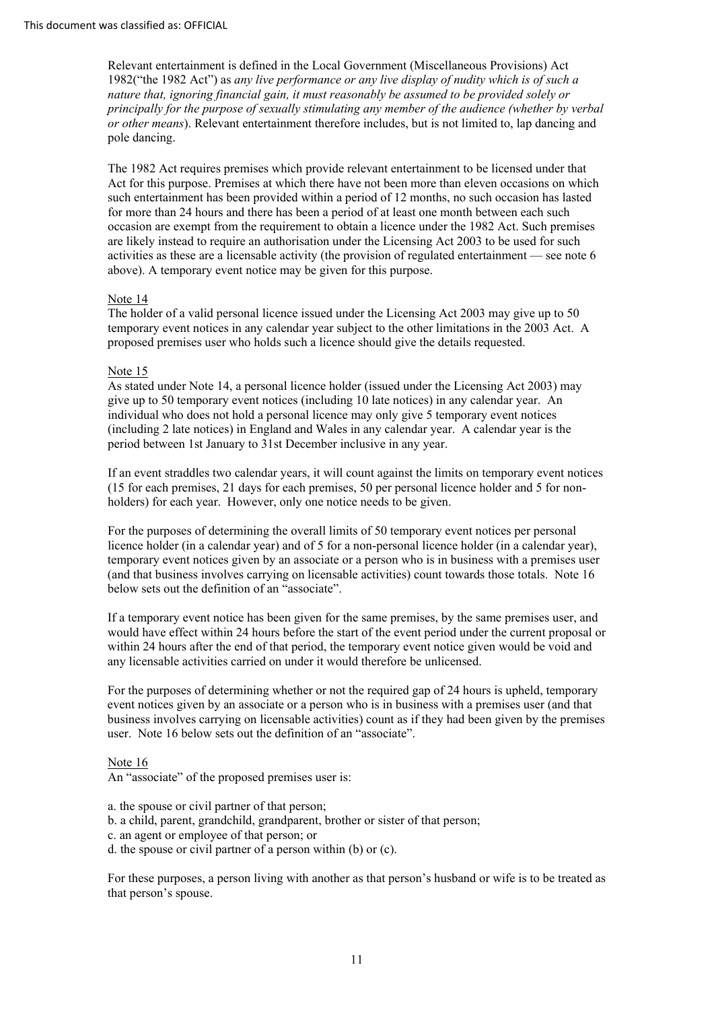1982("the 1982 Act") as *any live performance or any live display of nudity which is of such a nature that, ignoring financial gain, it must reasonably be assumed to be provided solely or*  pole dancing. Relevant entertainment is defined in the Local Government (Miscellaneous Provisions) Act *principally for the purpose of sexually stimulating any member of the audience (whether by verbal or other means*). Relevant entertainment therefore includes, but is not limited to, lap dancing and

 The 1982 Act requires premises which provide relevant entertainment to be licensed under that such entertainment has been provided within a period of 12 months, no such occasion has lasted for more than 24 hours and there has been a period of at least one month between each such occasion are exempt from the requirement to obtain a licence under the 1982 Act. Such premises are likely instead to require an authorisation under the Licensing Act 2003 to be used for such Act for this purpose. Premises at which there have not been more than eleven occasions on which activities as these are a licensable activity (the provision of regulated entertainment — see note 6 above). A temporary event notice may be given for this purpose.

# Note 14

 The holder of a valid personal licence issued under the Licensing Act 2003 may give up to 50 temporary event notices in any calendar year subject to the other limitations in the 2003 Act. A proposed premises user who holds such a licence should give the details requested.

## Note 15

 give up to 50 temporary event notices (including 10 late notices) in any calendar year. An individual who does not hold a personal licence may only give 5 temporary event notices (including 2 late notices) in England and Wales in any calendar year. A calendar year is the As stated under Note 14, a personal licence holder (issued under the Licensing Act 2003) may period between 1st January to 31st December inclusive in any year.

 (15 for each premises, 21 days for each premises, 50 per personal licence holder and 5 for non- holders) for each year. However, only one notice needs to be given. If an event straddles two calendar years, it will count against the limits on temporary event notices

 For the purposes of determining the overall limits of 50 temporary event notices per personal licence holder (in a calendar year) and of 5 for a non-personal licence holder (in a calendar year), temporary event notices given by an associate or a person who is in business with a premises user (and that business involves carrying on licensable activities) count towards those totals. Note 16 below sets out the definition of an "associate".

 If a temporary event notice has been given for the same premises, by the same premises user, and would have effect within 24 hours before the start of the event period under the current proposal or within 24 hours after the end of that period, the temporary event notice given would be void and any licensable activities carried on under it would therefore be unlicensed.

 For the purposes of determining whether or not the required gap of 24 hours is upheld, temporary event notices given by an associate or a person who is in business with a premises user (and that business involves carrying on licensable activities) count as if they had been given by the premises user. Note 16 below sets out the definition of an "associate".

#### Note 16

An "associate" of the proposed premises user is:

- a. the spouse or civil partner of that person;
- b. a child, parent, grandchild, grandparent, brother or sister of that person;
- c. an agent or employee of that person; or
- d. the spouse or civil partner of a person within (b) or (c).

 For these purposes, a person living with another as that person's husband or wife is to be treated as that person's spouse.